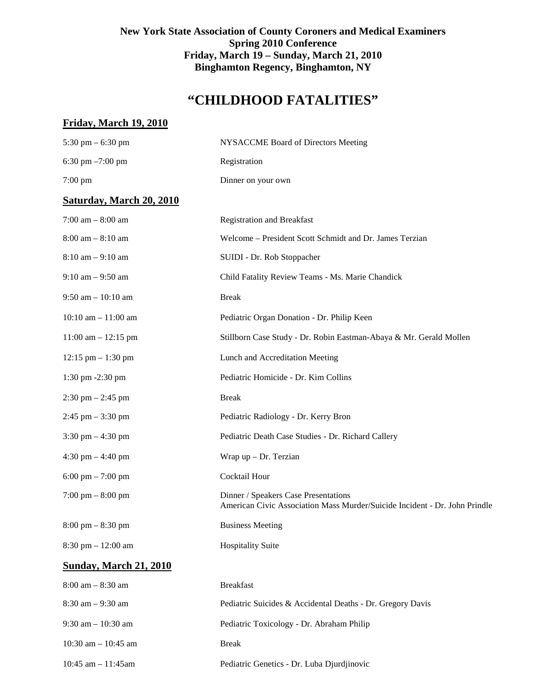## **New York State Association of County Coroners and Medical Examiners Spring 2010 Conference Friday, March 19 – Sunday, March 21, 2010 Binghamton Regency, Binghamton, NY**

# **"CHILDHOOD FATALITIES"**

## **Friday, March 19, 2010**

| 5:30 pm $-$ 6:30 pm                  | NYSACCME Board of Directors Meeting                                                                                |
|--------------------------------------|--------------------------------------------------------------------------------------------------------------------|
| 6:30 pm $-7:00$ pm                   | Registration                                                                                                       |
| $7:00$ pm                            | Dinner on your own                                                                                                 |
| <b>Saturday, March 20, 2010</b>      |                                                                                                                    |
| 7:00 am $-8:00$ am                   | <b>Registration and Breakfast</b>                                                                                  |
| $8:00$ am $-8:10$ am                 | Welcome - President Scott Schmidt and Dr. James Terzian                                                            |
| $8:10$ am $-9:10$ am                 | SUIDI - Dr. Rob Stoppacher                                                                                         |
| $9:10$ am $-9:50$ am                 | Child Fatality Review Teams - Ms. Marie Chandick                                                                   |
| 9:50 am $-10:10$ am                  | <b>Break</b>                                                                                                       |
| $10:10$ am $- 11:00$ am              | Pediatric Organ Donation - Dr. Philip Keen                                                                         |
| $11:00$ am $- 12:15$ pm              | Stillborn Case Study - Dr. Robin Eastman-Abaya & Mr. Gerald Mollen                                                 |
| $12:15$ pm $- 1:30$ pm               | Lunch and Accreditation Meeting                                                                                    |
| 1:30 pm -2:30 pm                     | Pediatric Homicide - Dr. Kim Collins                                                                               |
| $2:30$ pm $- 2:45$ pm                | <b>Break</b>                                                                                                       |
| $2:45$ pm $-3:30$ pm                 | Pediatric Radiology - Dr. Kerry Bron                                                                               |
| $3:30 \text{ pm} - 4:30 \text{ pm}$  | Pediatric Death Case Studies - Dr. Richard Callery                                                                 |
| $4:30 \text{ pm} - 4:40 \text{ pm}$  | Wrap $up$ – Dr. Terzian                                                                                            |
| $6:00 \text{ pm} - 7:00 \text{ pm}$  | Cocktail Hour                                                                                                      |
| $7:00 \text{ pm} - 8:00 \text{ pm}$  | Dinner / Speakers Case Presentations<br>American Civic Association Mass Murder/Suicide Incident - Dr. John Prindle |
| $8:00 \text{ pm} - 8:30 \text{ pm}$  | <b>Business Meeting</b>                                                                                            |
| $8:30 \text{ pm} - 12:00 \text{ am}$ | <b>Hospitality Suite</b>                                                                                           |
| <b>Sunday, March 21, 2010</b>        |                                                                                                                    |
| $8:00$ am $-8:30$ am                 | <b>Breakfast</b>                                                                                                   |
| $8:30$ am $-9:30$ am                 | Pediatric Suicides & Accidental Deaths - Dr. Gregory Davis                                                         |
| $9:30$ am $-10:30$ am                | Pediatric Toxicology - Dr. Abraham Philip                                                                          |
| 10:30 am $-$ 10:45 am                | <b>Break</b>                                                                                                       |

10:45 am – 11:45am Pediatric Genetics - Dr. Luba Djurdjinovic